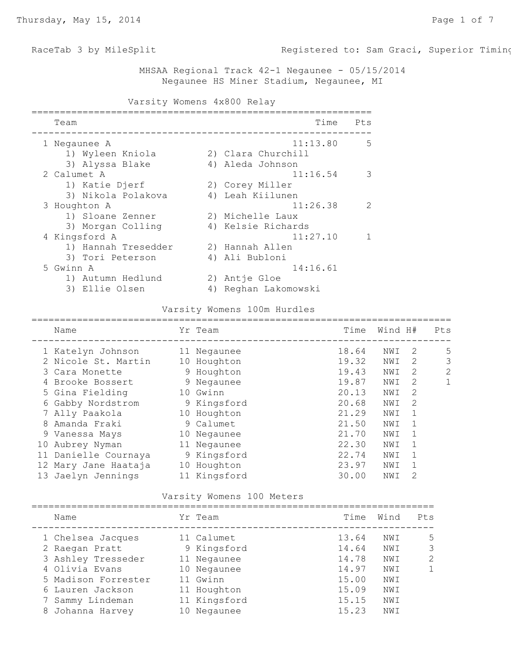RaceTab 3 by MileSplit **Registered to: Sam Graci, Superior Timin** 

 MHSAA Regional Track 42-1 Negaunee - 05/15/2014 Negaunee HS Miner Stadium, Negaunee, MI

| Varsity Womens 4x800 Relay                               |                                               |  |  |  |  |  |  |  |
|----------------------------------------------------------|-----------------------------------------------|--|--|--|--|--|--|--|
| Team                                                     | Time<br>Pts                                   |  |  |  |  |  |  |  |
| 1 Negaunee A<br>1) Wyleen Kniola                         | 11:13.80<br>5<br>2) Clara Churchill           |  |  |  |  |  |  |  |
| 3) Alyssa Blake<br>2 Calumet A                           | 4) Aleda Johnson<br>11:16.54<br>3             |  |  |  |  |  |  |  |
| 1) Katie Djerf<br>3) Nikola Polakova                     | 2) Corey Miller<br>4) Leah Kiilunen           |  |  |  |  |  |  |  |
| 3 Houghton A<br>1) Sloane Zenner                         | 11:26.38<br>$\mathcal{L}$<br>2) Michelle Laux |  |  |  |  |  |  |  |
| 3) Morgan Colling                                        | 4) Kelsie Richards                            |  |  |  |  |  |  |  |
| 4 Kingsford A<br>1) Hannah Tresedder<br>3) Tori Peterson | 11:27.10<br>2) Hannah Allen<br>4) Ali Bubloni |  |  |  |  |  |  |  |
| 5 Gwinn A                                                | 14:16.61                                      |  |  |  |  |  |  |  |
| 1) Autumn Hedlund<br>3) Ellie Olsen                      | Antje Gloe<br>2)<br>Reghan Lakomowski<br>4)   |  |  |  |  |  |  |  |

#### Varsity Womens 100m Hurdles

| Name                 |                   | Time                                                                                                                                                                                                 |     |                                                                                                                                                                 | Pts     |
|----------------------|-------------------|------------------------------------------------------------------------------------------------------------------------------------------------------------------------------------------------------|-----|-----------------------------------------------------------------------------------------------------------------------------------------------------------------|---------|
|                      |                   | 18.64                                                                                                                                                                                                | NWI | 2                                                                                                                                                               | 5       |
| 2 Nicole St. Martin  |                   | 19.32                                                                                                                                                                                                | NWI | 2                                                                                                                                                               | 3       |
| 3 Cara Monette       |                   | 19.43                                                                                                                                                                                                | NWI | 2                                                                                                                                                               | 2       |
| Brooke Bossert<br>4  |                   | 19.87                                                                                                                                                                                                | NWI | 2                                                                                                                                                               | 1       |
| 5 Gina Fielding      |                   | 20.13                                                                                                                                                                                                | NWI | 2                                                                                                                                                               |         |
| 6 Gabby Nordstrom    |                   | 20.68                                                                                                                                                                                                | NWI | 2                                                                                                                                                               |         |
| 7 Ally Paakola       |                   | 21.29                                                                                                                                                                                                | NWI | $\mathbf{1}$                                                                                                                                                    |         |
| Amanda Fraki         |                   | 21.50                                                                                                                                                                                                | NWI |                                                                                                                                                                 |         |
| 9 Vanessa Mays       |                   | 21.70                                                                                                                                                                                                | NWI |                                                                                                                                                                 |         |
| Aubrey Nyman         |                   | 22.30                                                                                                                                                                                                | NWI | 1                                                                                                                                                               |         |
| 11 Danielle Cournaya |                   | 22.74                                                                                                                                                                                                | NWI |                                                                                                                                                                 |         |
| 12 Mary Jane Haataja |                   | 23.97                                                                                                                                                                                                | NWI |                                                                                                                                                                 |         |
| 13 Jaelyn Jennings   |                   | 30.00                                                                                                                                                                                                | NWI | $\mathcal{D}_{\mathcal{L}}^{\mathcal{L}}(\mathcal{L})=\mathcal{D}_{\mathcal{L}}^{\mathcal{L}}(\mathcal{L})\mathcal{D}_{\mathcal{L}}^{\mathcal{L}}(\mathcal{L})$ |         |
|                      | 1 Katelyn Johnson | Yr Team<br>11 Negaunee<br>10 Houghton<br>9 Houghton<br>9 Negaunee<br>10 Gwinn<br>9 Kingsford<br>10 Houghton<br>9 Calumet<br>10 Negaunee<br>11 Negaunee<br>9 Kingsford<br>10 Houghton<br>11 Kingsford |     |                                                                                                                                                                 | Wind H# |

# Varsity Womens 100 Meters

| Name                | Yr Team      | Time  | Wind | Pts |
|---------------------|--------------|-------|------|-----|
| 1 Chelsea Jacques   | 11 Calumet   | 13.64 | NWI  | 5   |
| 2 Raegan Pratt      | 9 Kingsford  | 14.64 | NWI  | 3   |
| 3 Ashley Tresseder  | 11 Negaunee  | 14.78 | NWI  | 2   |
| 4 Olivia Evans      | 10 Negaunee  | 14.97 | NWI  | 1   |
| 5 Madison Forrester | 11 Gwinn     | 15.00 | NWI  |     |
| 6 Lauren Jackson    | 11 Houghton  | 15.09 | NWI  |     |
| Sammy Lindeman      | 11 Kingsford | 15.15 | NWI  |     |
| 8 Johanna Harvey    | 10 Negaunee  | 15.23 | NWI  |     |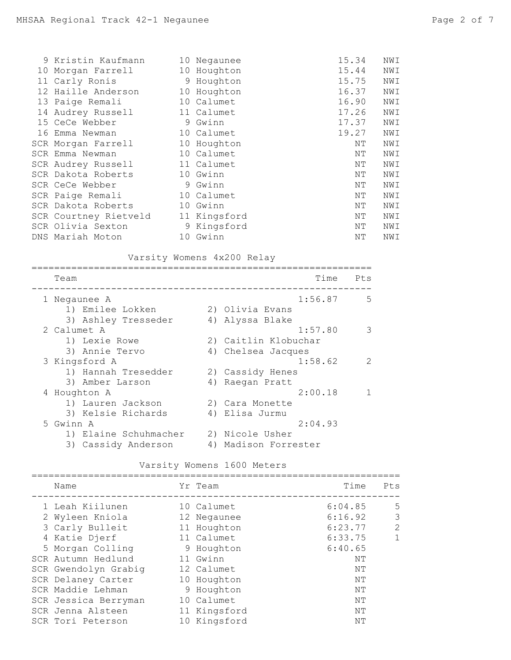| 9 Kristin Kaufmann    |    | 10 Negaunee  | 15.34 | NWI |
|-----------------------|----|--------------|-------|-----|
| 10 Morgan Farrell     |    | 10 Houghton  | 15.44 | NWI |
| 11 Carly Ronis        |    | 9 Houghton   | 15.75 | NWI |
| 12 Haille Anderson    | 10 | Houghton     | 16.37 | NWI |
| 13 Paige Remali       |    | 10 Calumet   | 16.90 | NWI |
| 14 Audrey Russell     |    | 11 Calumet   | 17.26 | NWI |
| 15 CeCe Webber        |    | 9 Gwinn      | 17.37 | NWI |
| 16 Emma Newman        |    | 10 Calumet   | 19.27 | NWI |
| SCR Morgan Farrell    |    | 10 Houghton  | NΤ    | NWI |
| SCR Emma Newman       |    | 10 Calumet   | NΤ    | NWI |
| SCR Audrey Russell    |    | 11 Calumet   | NΤ    | NWI |
| SCR Dakota Roberts    |    | 10 Gwinn     | ΝT    | NWI |
| SCR CeCe Webber       |    | 9 Gwinn      | NΤ    | NWI |
| SCR Paige Remali      |    | 10 Calumet   | NΤ    | NWI |
| SCR Dakota Roberts    |    | 10 Gwinn     | NΤ    | NWI |
| SCR Courtney Rietveld |    | 11 Kingsford | NΤ    | NWI |
| SCR Olivia Sexton     |    | 9 Kingsford  | NΤ    | NWI |
| DNS Mariah Moton      | 10 | Gwinn        | NΤ    | NWI |

Varsity Womens 4x200 Relay

| Team                  | Time                 | Pts           |
|-----------------------|----------------------|---------------|
| 1 Negaunee A          | 1:56.87              | 5             |
| 1) Emilee Lokken      | 2) Olivia Evans      |               |
| 3) Ashley Tresseder   | 4) Alyssa Blake      |               |
| 2 Calumet A           | 1:57.80              | 3             |
| 1) Lexie Rowe         | 2) Caitlin Klobuchar |               |
| 3) Annie Tervo        | 4) Chelsea Jacques   |               |
| 3 Kingsford A         | 1:58.62              | $\mathcal{P}$ |
| 1) Hannah Tresedder   | 2) Cassidy Henes     |               |
| 3) Amber Larson       | 4) Raegan Pratt      |               |
| 4 Houghton A          | 2:00.18              |               |
| 1) Lauren Jackson     | 2) Cara Monette      |               |
| 3) Kelsie Richards    | 4) Elisa Jurmu       |               |
| 5 Gwinn A             | 2:04.93              |               |
| 1) Elaine Schuhmacher | 2) Nicole Usher      |               |
| 3) Cassidy Anderson   | 4) Madison Forrester |               |

#### Varsity Womens 1600 Meters =================================================================

| Name                 | Yr Team      | Time    | Pts |
|----------------------|--------------|---------|-----|
| 1 Leah Kiilunen      | 10 Calumet   | 6:04.85 | 5   |
| 2 Wyleen Kniola      | 12 Negaunee  | 6:16.92 | 3   |
| 3 Carly Bulleit      | 11 Houghton  | 6:23.77 | 2   |
| 4 Katie Djerf        | 11 Calumet   | 6:33.75 | 1   |
| 5 Morgan Colling     | 9 Houghton   | 6:40.65 |     |
| SCR Autumn Hedlund   | 11 Gwinn     | NΤ      |     |
| SCR Gwendolyn Grabiq | 12 Calumet   | NΤ      |     |
| SCR Delaney Carter   | 10 Houghton  | NΤ      |     |
| SCR Maddie Lehman    | 9 Houghton   | NΤ      |     |
| SCR Jessica Berryman | 10 Calumet   | NΤ      |     |
| SCR Jenna Alsteen    | 11 Kingsford | NΤ      |     |
| SCR Tori Peterson    | 10 Kingsford | NΤ      |     |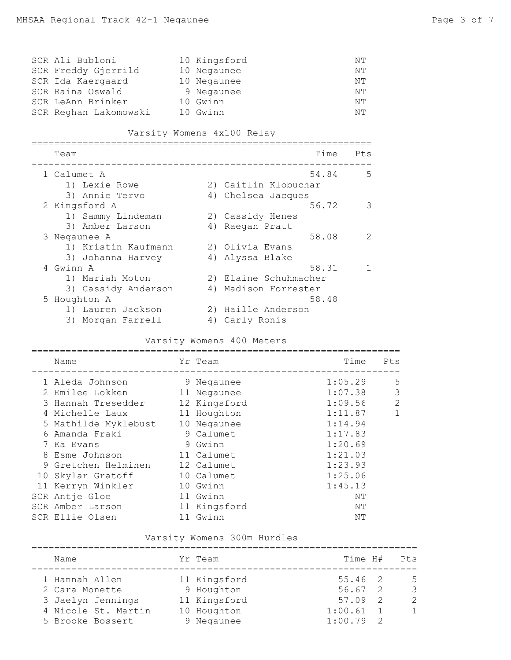| SCR Ali Bubloni       | 10 Kingsford | NΤ |
|-----------------------|--------------|----|
| SCR Freddy Gjerrild   | 10 Negaunee  | NΤ |
| SCR Ida Kaergaard     | 10 Negaunee  | NΤ |
| SCR Raina Oswald      | 9 Negaunee   | NΤ |
| SCR LeAnn Brinker     | 10 Gwinn     | NΤ |
| SCR Reghan Lakomowski | 10 Gwinn     | NΤ |

#### Varsity Womens 4x100 Relay

| Team                |    | Time<br>Pts            |
|---------------------|----|------------------------|
| 1 Calumet A         |    | 54.84<br>.5            |
| 1) Lexie Rowe       |    | 2) Caitlin Klobuchar   |
| 3) Annie Tervo      |    | 4) Chelsea Jacques     |
| 2 Kingsford A       |    | 3<br>56.72             |
| 1) Sammy Lindeman   |    | 2) Cassidy Henes       |
| 3) Amber Larson     |    | 4) Raegan Pratt        |
| 3 Negaunee A        |    | 58.08<br>$\mathcal{P}$ |
| 1) Kristin Kaufmann |    | 2) Olivia Evans        |
| 3) Johanna Harvey   |    | 4) Alyssa Blake        |
| 4 Gwinn A           |    | 58.31                  |
| 1) Mariah Moton     |    | 2) Elaine Schuhmacher  |
| 3) Cassidy Anderson |    | 4) Madison Forrester   |
| 5 Houghton A        |    | 58.48                  |
| 1) Lauren Jackson   |    | 2) Haille Anderson     |
| 3) Morgan Farrell   | 4) | Carly Ronis            |

# Varsity Womens 400 Meters

| Name                 | Yr Team      | Time    | Pts          |
|----------------------|--------------|---------|--------------|
| 1 Aleda Johnson      | 9 Negaunee   | 1:05.29 | .5           |
| 2 Emilee Lokken      | 11 Negaunee  | 1:07.38 | 3            |
| 3 Hannah Tresedder   | 12 Kingsford | 1:09.56 | 2            |
| 4 Michelle Laux      | 11 Houghton  | 1:11.87 | $\mathbf{1}$ |
| 5 Mathilde Myklebust | 10 Negaunee  | 1:14.94 |              |
| 6 Amanda Fraki       | 9 Calumet    | 1:17.83 |              |
| 7 Ka Evans           | 9 Gwinn      | 1:20.69 |              |
| 8 Esme Johnson       | 11 Calumet   | 1:21.03 |              |
| 9 Gretchen Helminen  | 12 Calumet   | 1:23.93 |              |
| 10 Skylar Gratoff    | 10 Calumet   | 1:25.06 |              |
| 11 Kerryn Winkler    | 10 Gwinn     | 1:45.13 |              |
| SCR Antje Gloe       | 11 Gwinn     | NΤ      |              |
| SCR Amber Larson     | 11 Kingsford | NΤ      |              |
| SCR Ellie Olsen      | 11 Gwinn     | ΝT      |              |
|                      |              |         |              |

# Varsity Womens 300m Hurdles

| Name                | Yr Team      | Time H#     |                | Pts            |
|---------------------|--------------|-------------|----------------|----------------|
| 1 Hannah Allen      | 11 Kingsford | 55.46 2     |                | -5             |
| 2 Cara Monette      | 9 Houghton   | $56.67$ 2   |                | 3              |
| 3 Jaelyn Jennings   | 11 Kingsford | 57.09       | $\overline{2}$ | $\mathcal{L}$  |
| 4 Nicole St. Martin | 10 Houghton  | $1:00.61$ 1 |                | $\overline{1}$ |
| 5 Brooke Bossert    | 9 Negaunee   | $1:00.79$ 2 |                |                |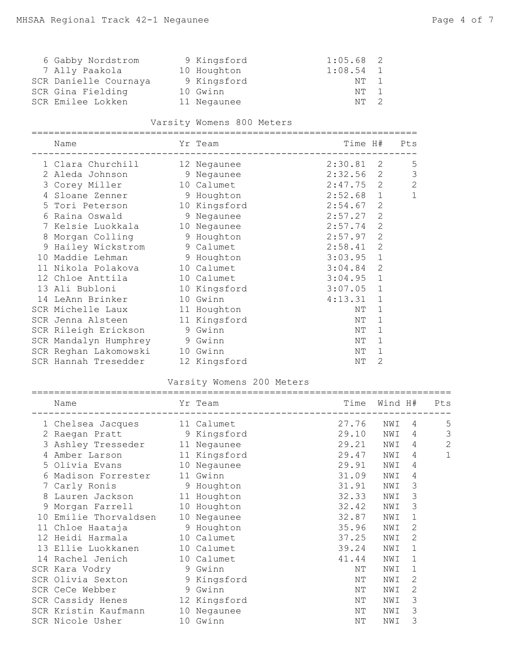| 6 Gabby Nordstrom     | 9 Kingsford | $1:05.68$ 2 |  |
|-----------------------|-------------|-------------|--|
| 7 Ally Paakola        | 10 Houghton | $1:08.54$ 1 |  |
| SCR Danielle Cournaya | 9 Kingsford | NT 1        |  |
| SCR Gina Fielding     | 10 Gwinn    | NT 1        |  |
| SCR Emilee Lokken     | 11 Negaunee | $NT \t2$    |  |

# Varsity Womens 800 Meters

|    | =============                     | ================== |             |                |                |
|----|-----------------------------------|--------------------|-------------|----------------|----------------|
|    | Name                              | Yr Team            |             |                | Time H# Pts    |
|    | 1 Clara Churchill 12 Negaunee     |                    | 2:30.81 2   |                | 5              |
|    | 2 Aleda Johnson 9 Negaunee        |                    | $2:32.56$ 2 |                | 3              |
|    | 3 Corey Miller 10 Calumet         |                    | $2:47.75$ 2 |                | $\overline{2}$ |
| 4  | Sloane Zenner 9 Houghton          |                    | $2:52.68$ 1 |                | $\mathbf 1$    |
|    | 5 Tori Peterson 10 Kingsford      |                    | 2:54.67     | 2              |                |
|    | 6 Raina Oswald 5 9 Negaunee       |                    | 2:57.27     | 2              |                |
|    | 7 Kelsie Luokkala 10 Negaunee     |                    | 2:57.74     | $\overline{2}$ |                |
| 8  | Morgan Colling 5 9 Houghton       |                    | 2:57.97     | $\mathbf{2}$   |                |
|    | 9 Hailey Wickstrom 9 Calumet      |                    | 2:58.41     | 2              |                |
| 10 | Maddie Lehman 9 Houghton          |                    | 3:03.95     | $\mathbf{1}$   |                |
| 11 | Nikola Polakova 10 Calumet        |                    | 3:04.84     | $\overline{2}$ |                |
|    | 12 Chloe Anttila 10 Calumet       |                    | 3:04.95     | $\mathbf{1}$   |                |
|    | 13 Ali Bubloni 10 Kingsford       |                    | 3:07.05     | $\mathbf{1}$   |                |
| 14 | LeAnn Brinker                     | 10 Gwinn           | 4:13.31     | $\mathbf 1$    |                |
|    | SCR Michelle Laux 11 Houghton     |                    | NΤ          | $\mathbf 1$    |                |
|    | SCR Jenna Alsteen 11 Kingsford    |                    | ΝT          | 1              |                |
|    | SCR Rileigh Erickson 9 Gwinn      |                    | NΤ          | $\mathbf{1}$   |                |
|    | SCR Mandalyn Humphrey 9 Gwinn     |                    | ΝT          | $\mathbf{1}$   |                |
|    | SCR Reghan Lakomowski 10 Gwinn    |                    | NΤ          | $\mathbf{1}$   |                |
|    | SCR Hannah Tresedder 12 Kingsford |                    | NΤ          | 2              |                |

# Varsity Womens 200 Meters

|    | =============                  |              |       |         |   |              |
|----|--------------------------------|--------------|-------|---------|---|--------------|
|    | Name                           | Yr Team      | Time  | Wind H# |   | Pts          |
|    | 1 Chelsea Jacques 11 Calumet   |              | 27.76 | NWI     | 4 | 5            |
| 2  | Raegan Pratt 9 Kingsford       |              | 29.10 | NWI     | 4 | 3            |
|    | 3 Ashley Tresseder 11 Negaunee |              | 29.21 | NWI     | 4 | $\mathbf{2}$ |
| 4  | Amber Larson 11 Kingsford      |              | 29.47 | NWI     | 4 | 1            |
| 5. | Olivia Evans                   | 10 Negaunee  | 29.91 | NWI     | 4 |              |
| 6  | Madison Forrester 11 Gwinn     |              | 31.09 | NWI     | 4 |              |
|    | 7 Carly Ronis 9 Houghton       |              | 31.91 | NWI     | 3 |              |
| 8  | Lauren Jackson 11 Houghton     |              | 32.33 | NWI     | 3 |              |
|    | 9 Morgan Farrell               | 10 Houghton  | 32.42 | NWI     | 3 |              |
| 10 | Emilie Thorvaldsen             | 10 Negaunee  | 32.87 | NWI     | 1 |              |
|    | 11 Chloe Haataja 5 9 Houghton  |              | 35.96 | NWI     | 2 |              |
|    | 12 Heidi Harmala               | 10 Calumet   | 37.25 | NWI     | 2 |              |
|    | 13 Ellie Luokkanen             | 10 Calumet   | 39.24 | NWI     | 1 |              |
| 14 | Rachel Jenich                  | 10 Calumet   | 41.44 | NWI     | 1 |              |
|    | SCR Kara Vodry 9 Gwinn         |              | NΤ    | NWI     | 1 |              |
|    | SCR Olivia Sexton 9 Kingsford  |              | NΤ    | NWI     | 2 |              |
|    | SCR CeCe Webber<br>9 Gwinn     |              | NΤ    | NWI     | 2 |              |
|    | SCR Cassidy Henes              | 12 Kingsford | NΤ    | NWI     | 3 |              |
|    | SCR Kristin Kaufmann           | 10 Negaunee  | NΤ    | NWI     | 3 |              |
|    | SCR Nicole Usher               | 10 Gwinn     | ΝT    | NWI     | 3 |              |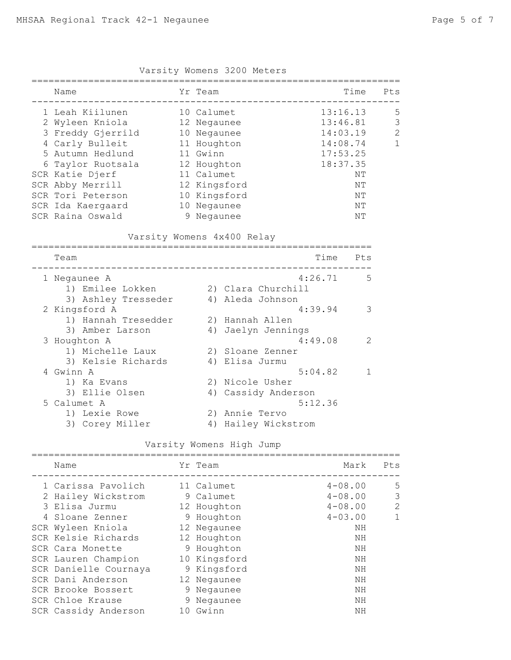| Name              | Yr Team      | Time     | Pts          |
|-------------------|--------------|----------|--------------|
| 1 Leah Kiilunen   | 10 Calumet   | 13:16.13 | .5           |
| 2 Wyleen Kniola   | 12 Negaunee  | 13:46.81 | 3            |
| 3 Freddy Gjerrild | 10 Negaunee  | 14:03.19 | 2            |
| 4 Carly Bulleit   | 11 Houghton  | 14:08.74 | $\mathbf{1}$ |
| 5 Autumn Hedlund  | 11 Gwinn     | 17:53.25 |              |
| 6 Taylor Ruotsala | 12 Houghton  | 18:37.35 |              |
| SCR Katie Djerf   | 11 Calumet   | NΤ       |              |
| SCR Abby Merrill  | 12 Kingsford | NΤ       |              |
| SCR Tori Peterson | 10 Kingsford | NΤ       |              |
| SCR Ida Kaergaard | 10 Negaunee  | NΤ       |              |
| SCR Raina Oswald  | Negaunee     | NΤ       |              |
|                   |              |          |              |

Varsity Womens 3200 Meters

Varsity Womens 4x400 Relay

| Team                |    | Time<br>Pts         |    |
|---------------------|----|---------------------|----|
| 1 Negaunee A        |    | 4:26.71             | .5 |
| 1) Emilee Lokken    |    | 2) Clara Churchill  |    |
| 3) Ashley Tresseder |    | 4) Aleda Johnson    |    |
| 2 Kingsford A       |    | 4:39.94             | 3  |
| 1) Hannah Tresedder |    | 2) Hannah Allen     |    |
| 3) Amber Larson     |    | 4) Jaelyn Jennings  |    |
| 3 Houghton A        |    | 4:49.08             | 2  |
| 1) Michelle Laux    |    | 2) Sloane Zenner    |    |
| 3) Kelsie Richards  |    | 4) Elisa Jurmu      |    |
| 4 Gwinn A           |    | 5:04.82             |    |
| 1) Ka Evans         |    | 2) Nicole Usher     |    |
| 3) Ellie Olsen      |    | 4) Cassidy Anderson |    |
| 5 Calumet A         |    | 5:12.36             |    |
| 1) Lexie Rowe       |    | 2) Annie Tervo      |    |
| 3) Corey Miller     | 4) | Hailey Wickstrom    |    |

# Varsity Womens High Jump

| Name                  | Yr Team      | Mark        | Pts |
|-----------------------|--------------|-------------|-----|
| 1 Carissa Pavolich    | 11 Calumet   | $4 - 08.00$ | 5   |
| 2 Hailey Wickstrom    | 9 Calumet    | $4 - 08.00$ | 3   |
| 3 Elisa Jurmu         | 12 Houghton  | $4 - 08.00$ | 2   |
| 4 Sloane Zenner       | 9 Houghton   | $4 - 03.00$ | 1   |
| SCR Wyleen Kniola     | 12 Negaunee  | ΝH          |     |
| SCR Kelsie Richards   | 12 Houghton  | ΝH          |     |
| SCR Cara Monette      | 9 Houghton   | ΝH          |     |
| SCR Lauren Champion   | 10 Kingsford | ΝH          |     |
| SCR Danielle Cournaya | 9 Kingsford  | ΝH          |     |
| SCR Dani Anderson     | 12 Negaunee  | ΝH          |     |
| SCR Brooke Bossert    | 9 Negaunee   | ΝH          |     |
| SCR Chloe Krause      | 9 Negaunee   | ΝH          |     |
| SCR Cassidy Anderson  | 10 Gwinn     | ΝH          |     |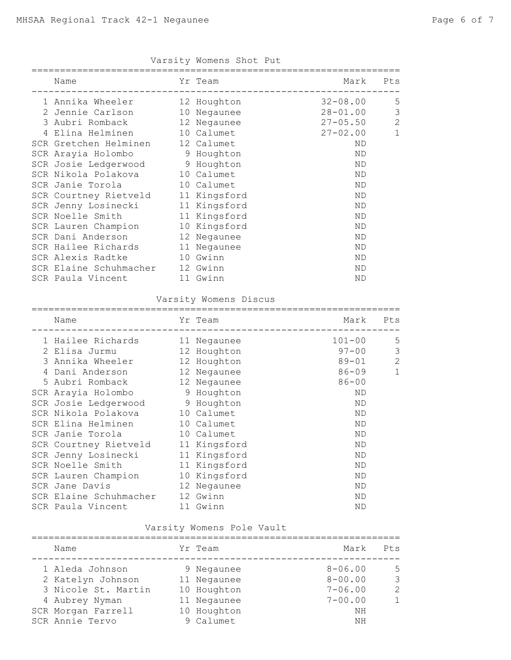| Varsity Womens Shot Put |  |  |
|-------------------------|--|--|

| Name                   |                                                                                                                                                                                                                                           | Mark                                                                                                                                                                                                                                                                                                                | Pts              |
|------------------------|-------------------------------------------------------------------------------------------------------------------------------------------------------------------------------------------------------------------------------------------|---------------------------------------------------------------------------------------------------------------------------------------------------------------------------------------------------------------------------------------------------------------------------------------------------------------------|------------------|
|                        |                                                                                                                                                                                                                                           | 32-08.00                                                                                                                                                                                                                                                                                                            | 5                |
|                        |                                                                                                                                                                                                                                           | 28-01.00                                                                                                                                                                                                                                                                                                            | 3                |
|                        |                                                                                                                                                                                                                                           | $27 - 05.50$                                                                                                                                                                                                                                                                                                        | $\mathbf{2}$     |
|                        |                                                                                                                                                                                                                                           | $27 - 02.00$                                                                                                                                                                                                                                                                                                        | $\mathbf{1}$     |
|                        |                                                                                                                                                                                                                                           | <b>ND</b>                                                                                                                                                                                                                                                                                                           |                  |
| SCR Arayia Holombo     |                                                                                                                                                                                                                                           | ND                                                                                                                                                                                                                                                                                                                  |                  |
|                        |                                                                                                                                                                                                                                           | ND                                                                                                                                                                                                                                                                                                                  |                  |
|                        |                                                                                                                                                                                                                                           | ND                                                                                                                                                                                                                                                                                                                  |                  |
| SCR Janie Torola       |                                                                                                                                                                                                                                           | ND                                                                                                                                                                                                                                                                                                                  |                  |
|                        |                                                                                                                                                                                                                                           | ND                                                                                                                                                                                                                                                                                                                  |                  |
|                        |                                                                                                                                                                                                                                           | <b>ND</b>                                                                                                                                                                                                                                                                                                           |                  |
|                        |                                                                                                                                                                                                                                           | <b>ND</b>                                                                                                                                                                                                                                                                                                           |                  |
|                        |                                                                                                                                                                                                                                           | <b>ND</b>                                                                                                                                                                                                                                                                                                           |                  |
|                        |                                                                                                                                                                                                                                           | ND                                                                                                                                                                                                                                                                                                                  |                  |
|                        |                                                                                                                                                                                                                                           | <b>ND</b>                                                                                                                                                                                                                                                                                                           |                  |
| SCR Alexis Radtke      |                                                                                                                                                                                                                                           | <b>ND</b>                                                                                                                                                                                                                                                                                                           |                  |
| SCR Elaine Schuhmacher |                                                                                                                                                                                                                                           | <b>ND</b>                                                                                                                                                                                                                                                                                                           |                  |
| SCR Paula Vincent      |                                                                                                                                                                                                                                           | <b>ND</b>                                                                                                                                                                                                                                                                                                           |                  |
|                        | 1 Annika Wheeler<br>2 Jennie Carlson<br>3 Aubri Romback<br>Elina Helminen<br>SCR Gretchen Helminen<br>SCR Courtney Rietveld<br>SCR Jenny Losinecki<br>SCR Noelle Smith<br>SCR Lauren Champion<br>SCR Dani Anderson<br>SCR Hailee Richards | Yr Team<br>12 Houghton<br>10 Negaunee<br>12 Negaunee<br>10 Calumet<br>12 Calumet<br>9 Houghton<br>SCR Josie Ledgerwood 9 Houghton<br>SCR Nikola Polakova 10 Calumet<br>10 Calumet<br>11 Kingsford<br>11 Kingsford<br>11 Kingsford<br>10 Kingsford<br>12 Negaunee<br>11 Negaunee<br>10 Gwinn<br>12 Gwinn<br>11 Gwinn | ---------------- |

#### Varsity Womens Discus

| Name                   | Yr Team      | Mark       | Pts          |
|------------------------|--------------|------------|--------------|
| 1 Hailee Richards      | 11 Negaunee  | $101 - 00$ | 5            |
| 2 Elisa Jurmu          | 12 Houghton  | $97 - 00$  | 3            |
| 3 Annika Wheeler       | 12 Houghton  | $89 - 01$  | 2            |
| 4 Dani Anderson        | 12 Negaunee  | 86-09      | $\mathbf{1}$ |
| 5 Aubri Romback        | 12 Negaunee  | $86 - 00$  |              |
| SCR Arayia Holombo     | 9 Houghton   | <b>ND</b>  |              |
| SCR Josie Ledgerwood   | 9 Houghton   | <b>ND</b>  |              |
| SCR Nikola Polakova    | 10 Calumet   | <b>ND</b>  |              |
| SCR Elina Helminen     | 10 Calumet   | <b>ND</b>  |              |
| SCR Janie Torola       | 10 Calumet   | <b>ND</b>  |              |
| SCR Courtney Rietveld  | 11 Kingsford | <b>ND</b>  |              |
| SCR Jenny Losinecki    | 11 Kingsford | <b>ND</b>  |              |
| SCR Noelle Smith       | 11 Kingsford | <b>ND</b>  |              |
| SCR Lauren Champion    | 10 Kingsford | <b>ND</b>  |              |
| SCR Jane Davis         | 12 Negaunee  | <b>ND</b>  |              |
| SCR Elaine Schuhmacher | 12 Gwinn     | ND         |              |
| SCR Paula Vincent      | 11 Gwinn     | <b>ND</b>  |              |

#### Varsity Womens Pole Vault

| Name                | Yr Team     | Mark        | Pts           |
|---------------------|-------------|-------------|---------------|
| 1 Aleda Johnson     | 9 Negaunee  | $8 - 06.00$ | 5             |
| 2 Katelyn Johnson   | 11 Negaunee | $8 - 00.00$ | 3             |
| 3 Nicole St. Martin | 10 Houghton | $7 - 06.00$ | $\mathcal{P}$ |
| 4 Aubrey Nyman      | 11 Negaunee | $7 - 00.00$ | $\mathbf{1}$  |
| SCR Morgan Farrell  | 10 Houghton | ΝH          |               |
| SCR Annie Tervo     | 9 Calumet   | NH          |               |